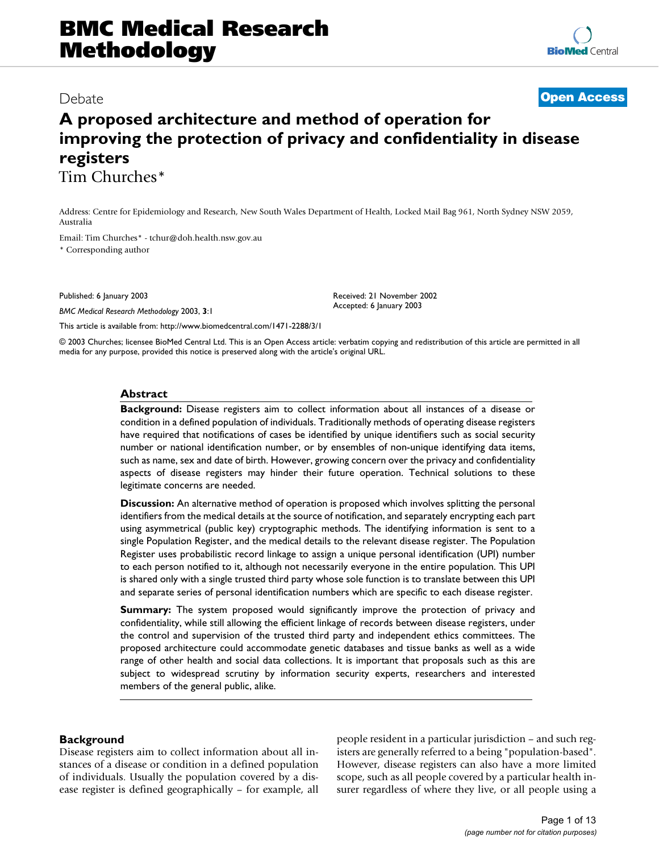## Debate **[Open Access](http://www.biomedcentral.com/info/about/charter/)**

# **A proposed architecture and method of operation for improving the protection of privacy and confidentiality in disease registers** Tim Churches\*

Address: Centre for Epidemiology and Research, New South Wales Department of Health, Locked Mail Bag 961, North Sydney NSW 2059, Australia

Email: Tim Churches\* - tchur@doh.health.nsw.gov.au \* Corresponding author

Published: 6 January 2003

*BMC Medical Research Methodology* 2003, **3**:1

[This article is available from: http://www.biomedcentral.com/1471-2288/3/1](http://www.biomedcentral.com/1471-2288/3/1)

© 2003 Churches; licensee BioMed Central Ltd. This is an Open Access article: verbatim copying and redistribution of this article are permitted in all media for any purpose, provided this notice is preserved along with the article's original URL.

Received: 21 November 2002 Accepted: 6 January 2003

#### **Abstract**

**Background:** Disease registers aim to collect information about all instances of a disease or condition in a defined population of individuals. Traditionally methods of operating disease registers have required that notifications of cases be identified by unique identifiers such as social security number or national identification number, or by ensembles of non-unique identifying data items, such as name, sex and date of birth. However, growing concern over the privacy and confidentiality aspects of disease registers may hinder their future operation. Technical solutions to these legitimate concerns are needed.

**Discussion:** An alternative method of operation is proposed which involves splitting the personal identifiers from the medical details at the source of notification, and separately encrypting each part using asymmetrical (public key) cryptographic methods. The identifying information is sent to a single Population Register, and the medical details to the relevant disease register. The Population Register uses probabilistic record linkage to assign a unique personal identification (UPI) number to each person notified to it, although not necessarily everyone in the entire population. This UPI is shared only with a single trusted third party whose sole function is to translate between this UPI and separate series of personal identification numbers which are specific to each disease register.

**Summary:** The system proposed would significantly improve the protection of privacy and confidentiality, while still allowing the efficient linkage of records between disease registers, under the control and supervision of the trusted third party and independent ethics committees. The proposed architecture could accommodate genetic databases and tissue banks as well as a wide range of other health and social data collections. It is important that proposals such as this are subject to widespread scrutiny by information security experts, researchers and interested members of the general public, alike.

#### **Background**

Disease registers aim to collect information about all instances of a disease or condition in a defined population of individuals. Usually the population covered by a disease register is defined geographically – for example, all

people resident in a particular jurisdiction – and such registers are generally referred to a being "population-based". However, disease registers can also have a more limited scope, such as all people covered by a particular health insurer regardless of where they live, or all people using a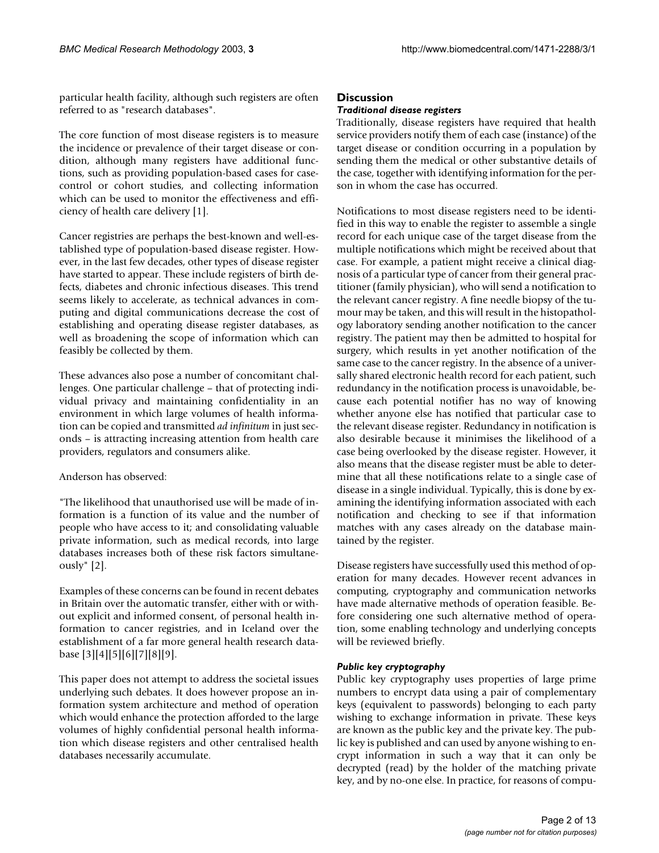particular health facility, although such registers are often referred to as "research databases".

The core function of most disease registers is to measure the incidence or prevalence of their target disease or condition, although many registers have additional functions, such as providing population-based cases for casecontrol or cohort studies, and collecting information which can be used to monitor the effectiveness and efficiency of health care delivery [1].

Cancer registries are perhaps the best-known and well-established type of population-based disease register. However, in the last few decades, other types of disease register have started to appear. These include registers of birth defects, diabetes and chronic infectious diseases. This trend seems likely to accelerate, as technical advances in computing and digital communications decrease the cost of establishing and operating disease register databases, as well as broadening the scope of information which can feasibly be collected by them.

These advances also pose a number of concomitant challenges. One particular challenge – that of protecting individual privacy and maintaining confidentiality in an environment in which large volumes of health information can be copied and transmitted *ad infinitum* in just seconds – is attracting increasing attention from health care providers, regulators and consumers alike.

## Anderson has observed:

"The likelihood that unauthorised use will be made of information is a function of its value and the number of people who have access to it; and consolidating valuable private information, such as medical records, into large databases increases both of these risk factors simultaneously" [2].

Examples of these concerns can be found in recent debates in Britain over the automatic transfer, either with or without explicit and informed consent, of personal health information to cancer registries, and in Iceland over the establishment of a far more general health research database [3][4][5][6][7][8][9].

This paper does not attempt to address the societal issues underlying such debates. It does however propose an information system architecture and method of operation which would enhance the protection afforded to the large volumes of highly confidential personal health information which disease registers and other centralised health databases necessarily accumulate.

## **Discussion**

## *Traditional disease registers*

Traditionally, disease registers have required that health service providers notify them of each case (instance) of the target disease or condition occurring in a population by sending them the medical or other substantive details of the case, together with identifying information for the person in whom the case has occurred.

Notifications to most disease registers need to be identified in this way to enable the register to assemble a single record for each unique case of the target disease from the multiple notifications which might be received about that case. For example, a patient might receive a clinical diagnosis of a particular type of cancer from their general practitioner (family physician), who will send a notification to the relevant cancer registry. A fine needle biopsy of the tumour may be taken, and this will result in the histopathology laboratory sending another notification to the cancer registry. The patient may then be admitted to hospital for surgery, which results in yet another notification of the same case to the cancer registry. In the absence of a universally shared electronic health record for each patient, such redundancy in the notification process is unavoidable, because each potential notifier has no way of knowing whether anyone else has notified that particular case to the relevant disease register. Redundancy in notification is also desirable because it minimises the likelihood of a case being overlooked by the disease register. However, it also means that the disease register must be able to determine that all these notifications relate to a single case of disease in a single individual. Typically, this is done by examining the identifying information associated with each notification and checking to see if that information matches with any cases already on the database maintained by the register.

Disease registers have successfully used this method of operation for many decades. However recent advances in computing, cryptography and communication networks have made alternative methods of operation feasible. Before considering one such alternative method of operation, some enabling technology and underlying concepts will be reviewed briefly.

## *Public key cryptography*

Public key cryptography uses properties of large prime numbers to encrypt data using a pair of complementary keys (equivalent to passwords) belonging to each party wishing to exchange information in private. These keys are known as the public key and the private key. The public key is published and can used by anyone wishing to encrypt information in such a way that it can only be decrypted (read) by the holder of the matching private key, and by no-one else. In practice, for reasons of compu-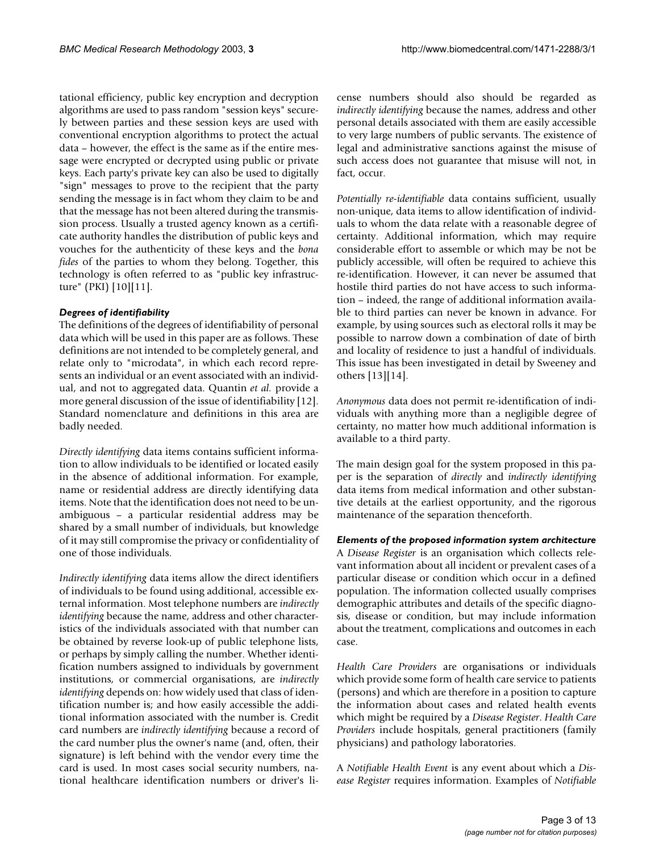tational efficiency, public key encryption and decryption algorithms are used to pass random "session keys" securely between parties and these session keys are used with conventional encryption algorithms to protect the actual data – however, the effect is the same as if the entire message were encrypted or decrypted using public or private keys. Each party's private key can also be used to digitally "sign" messages to prove to the recipient that the party sending the message is in fact whom they claim to be and that the message has not been altered during the transmission process. Usually a trusted agency known as a certificate authority handles the distribution of public keys and vouches for the authenticity of these keys and the *bona fides* of the parties to whom they belong. Together, this technology is often referred to as "public key infrastructure" (PKI) [10][11].

## *Degrees of identifiability*

The definitions of the degrees of identifiability of personal data which will be used in this paper are as follows. These definitions are not intended to be completely general, and relate only to "microdata", in which each record represents an individual or an event associated with an individual, and not to aggregated data. Quantin *et al.* provide a more general discussion of the issue of identifiability [12]. Standard nomenclature and definitions in this area are badly needed.

*Directly identifying* data items contains sufficient information to allow individuals to be identified or located easily in the absence of additional information. For example, name or residential address are directly identifying data items. Note that the identification does not need to be unambiguous – a particular residential address may be shared by a small number of individuals, but knowledge of it may still compromise the privacy or confidentiality of one of those individuals.

*Indirectly identifying* data items allow the direct identifiers of individuals to be found using additional, accessible external information. Most telephone numbers are *indirectly identifying* because the name, address and other characteristics of the individuals associated with that number can be obtained by reverse look-up of public telephone lists, or perhaps by simply calling the number. Whether identification numbers assigned to individuals by government institutions, or commercial organisations, are *indirectly identifying* depends on: how widely used that class of identification number is; and how easily accessible the additional information associated with the number is. Credit card numbers are *indirectly identifying* because a record of the card number plus the owner's name (and, often, their signature) is left behind with the vendor every time the card is used. In most cases social security numbers, national healthcare identification numbers or driver's license numbers should also should be regarded as *indirectly identifying* because the names, address and other personal details associated with them are easily accessible to very large numbers of public servants. The existence of legal and administrative sanctions against the misuse of such access does not guarantee that misuse will not, in fact, occur.

*Potentially re-identifiable* data contains sufficient, usually non-unique, data items to allow identification of individuals to whom the data relate with a reasonable degree of certainty. Additional information, which may require considerable effort to assemble or which may be not be publicly accessible, will often be required to achieve this re-identification. However, it can never be assumed that hostile third parties do not have access to such information – indeed, the range of additional information available to third parties can never be known in advance. For example, by using sources such as electoral rolls it may be possible to narrow down a combination of date of birth and locality of residence to just a handful of individuals. This issue has been investigated in detail by Sweeney and others [13][14].

*Anonymous* data does not permit re-identification of individuals with anything more than a negligible degree of certainty, no matter how much additional information is available to a third party.

The main design goal for the system proposed in this paper is the separation of *directly* and *indirectly identifying* data items from medical information and other substantive details at the earliest opportunity, and the rigorous maintenance of the separation thenceforth.

*Elements of the proposed information system architecture* A *Disease Register* is an organisation which collects relevant information about all incident or prevalent cases of a particular disease or condition which occur in a defined population. The information collected usually comprises demographic attributes and details of the specific diagnosis, disease or condition, but may include information about the treatment, complications and outcomes in each case.

*Health Care Providers* are organisations or individuals which provide some form of health care service to patients (persons) and which are therefore in a position to capture the information about cases and related health events which might be required by a *Disease Register*. *Health Care Providers* include hospitals, general practitioners (family physicians) and pathology laboratories.

A *Notifiable Health Event* is any event about which a *Disease Register* requires information. Examples of *Notifiable*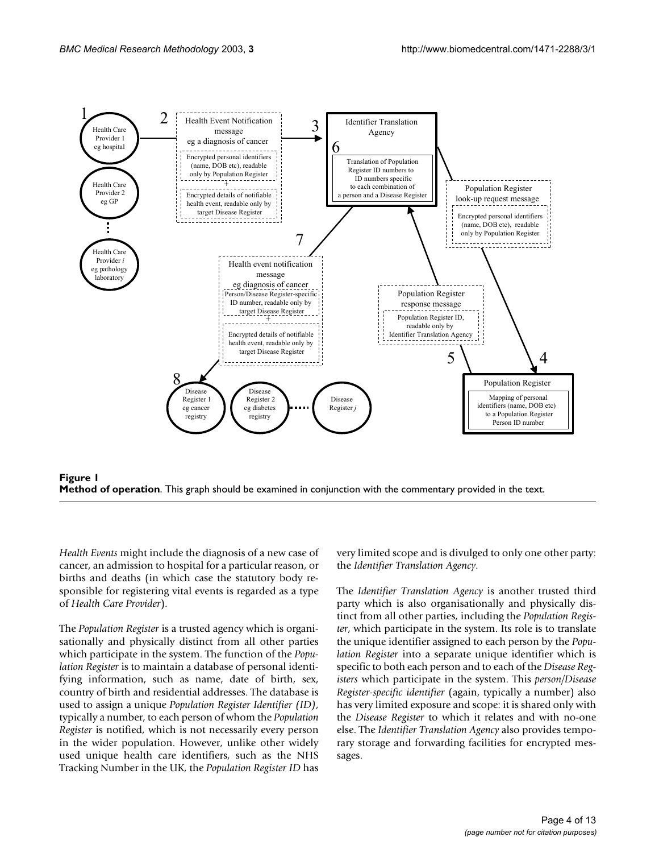



*Health Events* might include the diagnosis of a new case of cancer, an admission to hospital for a particular reason, or births and deaths (in which case the statutory body responsible for registering vital events is regarded as a type of *Health Care Provider*).

The *Population Register* is a trusted agency which is organisationally and physically distinct from all other parties which participate in the system. The function of the *Population Register* is to maintain a database of personal identifying information, such as name, date of birth, sex, country of birth and residential addresses. The database is used to assign a unique *Population Register Identifier (ID)*, typically a number, to each person of whom the *Population Register* is notified, which is not necessarily every person in the wider population. However, unlike other widely used unique health care identifiers, such as the NHS Tracking Number in the UK, the *Population Register ID* has

very limited scope and is divulged to only one other party: the *Identifier Translation Agency*.

The *Identifier Translation Agency* is another trusted third party which is also organisationally and physically distinct from all other parties, including the *Population Register*, which participate in the system. Its role is to translate the unique identifier assigned to each person by the *Population Register* into a separate unique identifier which is specific to both each person and to each of the *Disease Registers* which participate in the system. This *person/Disease Register-specific identifier* (again, typically a number) also has very limited exposure and scope: it is shared only with the *Disease Register* to which it relates and with no-one else. The *Identifier Translation Agency* also provides temporary storage and forwarding facilities for encrypted messages.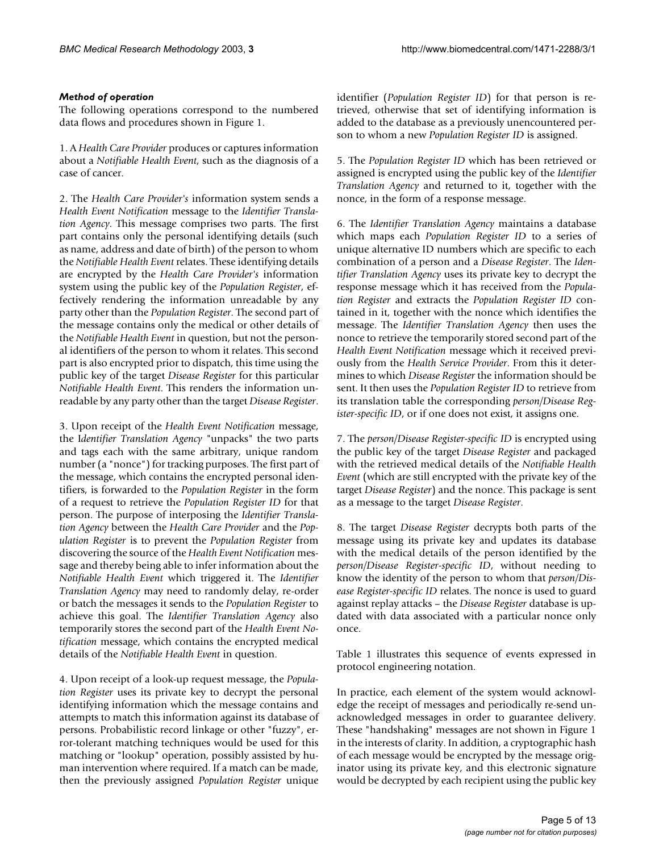## *Method of operation*

The following operations correspond to the numbered data flows and procedures shown in Figure 1.

1. A *Health Care Provider* produces or captures information about a *Notifiable Health Event*, such as the diagnosis of a case of cancer.

2. The *Health Care Provider's* information system sends a *Health Event Notification* message to the *Identifier Translation Agency*. This message comprises two parts. The first part contains only the personal identifying details (such as name, address and date of birth) of the person to whom the *Notifiable Health Event* relates. These identifying details are encrypted by the *Health Care Provider's* information system using the public key of the *Population Register*, effectively rendering the information unreadable by any party other than the *Population Register*. The second part of the message contains only the medical or other details of the *Notifiable Health Event* in question, but not the personal identifiers of the person to whom it relates. This second part is also encrypted prior to dispatch, this time using the public key of the target *Disease Register* for this particular *Notifiable Health Event*. This renders the information unreadable by any party other than the target *Disease Register*.

3. Upon receipt of the *Health Event Notification* message, the I*dentifier Translation Agency* "unpacks" the two parts and tags each with the same arbitrary, unique random number (a "nonce") for tracking purposes. The first part of the message, which contains the encrypted personal identifiers, is forwarded to the *Population Register* in the form of a request to retrieve the *Population Register ID* for that person. The purpose of interposing the *Identifier Translation Agency* between the *Health Care Provider* and the *Population Register* is to prevent the *Population Register* from discovering the source of the *Health Event Notification* message and thereby being able to infer information about the *Notifiable Health Event* which triggered it. The *Identifier Translation Agency* may need to randomly delay, re-order or batch the messages it sends to the *Population Register* to achieve this goal. The *Identifier Translation Agency* also temporarily stores the second part of the *Health Event Notification* message, which contains the encrypted medical details of the *Notifiable Health Event* in question.

4. Upon receipt of a look-up request message, the *Population Register* uses its private key to decrypt the personal identifying information which the message contains and attempts to match this information against its database of persons. Probabilistic record linkage or other "fuzzy", error-tolerant matching techniques would be used for this matching or "lookup" operation, possibly assisted by human intervention where required. If a match can be made, then the previously assigned *Population Register* unique identifier (*Population Register ID*) for that person is retrieved, otherwise that set of identifying information is added to the database as a previously unencountered person to whom a new *Population Register ID* is assigned.

5. The *Population Register ID* which has been retrieved or assigned is encrypted using the public key of the *Identifier Translation Agency* and returned to it, together with the nonce, in the form of a response message.

6. The *Identifier Translation Agency* maintains a database which maps each *Population Register ID* to a series of unique alternative ID numbers which are specific to each combination of a person and a *Disease Register*. The *Identifier Translation Agency* uses its private key to decrypt the response message which it has received from the *Population Register* and extracts the *Population Register ID* contained in it, together with the nonce which identifies the message. The *Identifier Translation Agency* then uses the nonce to retrieve the temporarily stored second part of the *Health Event Notification* message which it received previously from the *Health Service Provider*. From this it determines to which *Disease Register* the information should be sent. It then uses the *Population Register ID* to retrieve from its translation table the corresponding *person/Disease Register-specific ID*, or if one does not exist, it assigns one.

7. The *person/Disease Register-specific ID* is encrypted using the public key of the target *Disease Register* and packaged with the retrieved medical details of the *Notifiable Health Event* (which are still encrypted with the private key of the target *Disease Register*) and the nonce. This package is sent as a message to the target *Disease Register*.

8. The target *Disease Register* decrypts both parts of the message using its private key and updates its database with the medical details of the person identified by the *person/Disease Register-specific ID*, without needing to know the identity of the person to whom that *person/Disease Register-specific ID* relates. The nonce is used to guard against replay attacks – the *Disease Register* database is updated with data associated with a particular nonce only once.

Table [1](#page-5-0) illustrates this sequence of events expressed in protocol engineering notation.

In practice, each element of the system would acknowledge the receipt of messages and periodically re-send unacknowledged messages in order to guarantee delivery. These "handshaking" messages are not shown in Figure 1 in the interests of clarity. In addition, a cryptographic hash of each message would be encrypted by the message originator using its private key, and this electronic signature would be decrypted by each recipient using the public key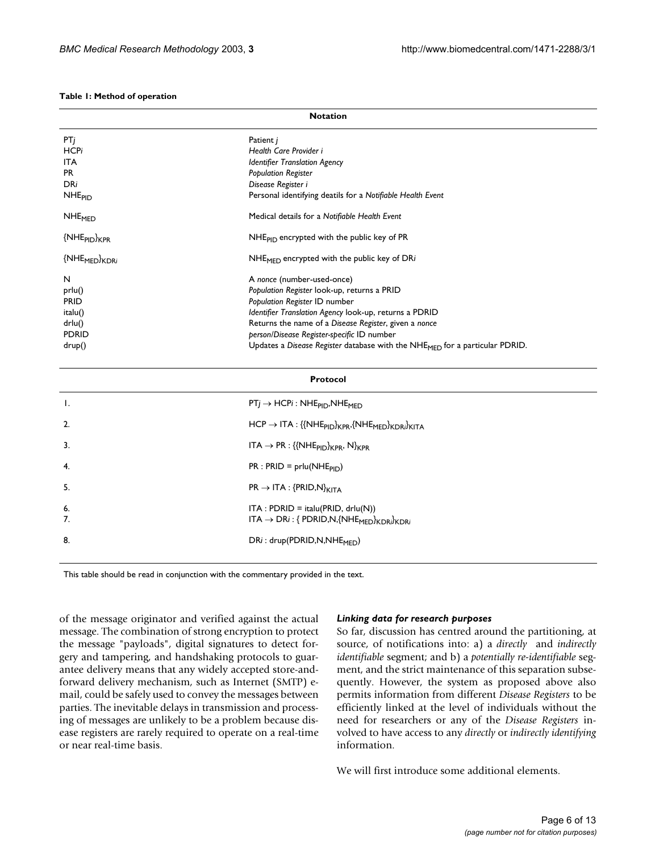#### <span id="page-5-0"></span>**Table 1: Method of operation**

**Notation**

| ivotation                                                                               |                                                                                                                                                                                                                                                                                                                                                                        |
|-----------------------------------------------------------------------------------------|------------------------------------------------------------------------------------------------------------------------------------------------------------------------------------------------------------------------------------------------------------------------------------------------------------------------------------------------------------------------|
| PTj<br><b>HCPi</b><br><b>ITA</b><br><b>PR</b><br><b>DRi</b><br><b>NHE<sub>PID</sub></b> | Patient j<br>Health Care Provider i<br><b>Identifier Translation Agency</b><br><b>Population Register</b><br>Disease Register i<br>Personal identifying deatils for a Notifiable Health Event                                                                                                                                                                          |
| NHE <sub>MED</sub>                                                                      | Medical details for a Notifiable Health Event                                                                                                                                                                                                                                                                                                                          |
| {NHE <sub>PID</sub> } <sub>KPR</sub>                                                    | NHE <sub>PID</sub> encrypted with the public key of PR                                                                                                                                                                                                                                                                                                                 |
| {NHE <sub>MED</sub> } <sub>KDRi</sub>                                                   | $NHE_{MFD}$ encrypted with the public key of DRi                                                                                                                                                                                                                                                                                                                       |
| N<br>prlu()<br><b>PRID</b><br>italu()<br>drlu()<br><b>PDRID</b><br>drup()               | A nonce (number-used-once)<br>Population Register look-up, returns a PRID<br>Population Register ID number<br>Identifier Translation Agency look-up, returns a PDRID<br>Returns the name of a Disease Register, given a nonce<br>person/Disease Register-specific ID number<br>Updates a Disease Register database with the NHE <sub>MED</sub> for a particular PDRID. |
|                                                                                         | Protocol                                                                                                                                                                                                                                                                                                                                                               |
| Ι.                                                                                      | $PTj \rightarrow HCPi$ : NHE <sub>PID</sub> , NHE <sub>MED</sub>                                                                                                                                                                                                                                                                                                       |
| 2.                                                                                      | $HCP \rightarrow ITA: \{\{NHE_{PID}\}_{KPR}, \{NHE_{MED}\}_{KDRi}\}_{KITA}$                                                                                                                                                                                                                                                                                            |
| 3.                                                                                      | ITA $\rightarrow$ PR : {{NHE <sub>PID</sub> } <sub>KPR</sub> , N} <sub>KPR</sub>                                                                                                                                                                                                                                                                                       |
| 4.                                                                                      | $PR : PRID = prlu(NHEPID)$                                                                                                                                                                                                                                                                                                                                             |
| 5.                                                                                      | $PR \rightarrow ITA : {PRID, N}_{KITA}$                                                                                                                                                                                                                                                                                                                                |
| 6.<br>7.                                                                                | $ITA : PDRID = italu(PRID, drlu(N))$<br>$ITA \rightarrow DRi$ : { PDRID,N,{NHE <sub>MED</sub> } <sub>KDRi</sub> } <sub>KDRi</sub>                                                                                                                                                                                                                                      |
| 8.                                                                                      | DRi: drup(PDRID,N,NHE <sub>MED</sub> )                                                                                                                                                                                                                                                                                                                                 |

This table should be read in conjunction with the commentary provided in the text.

of the message originator and verified against the actual message. The combination of strong encryption to protect the message "payloads", digital signatures to detect forgery and tampering, and handshaking protocols to guarantee delivery means that any widely accepted store-andforward delivery mechanism, such as Internet (SMTP) email, could be safely used to convey the messages between parties. The inevitable delays in transmission and processing of messages are unlikely to be a problem because disease registers are rarely required to operate on a real-time or near real-time basis.

#### *Linking data for research purposes*

So far, discussion has centred around the partitioning, at source, of notifications into: a) a *directly* and *indirectly identifiable* segment; and b) a *potentially re-identifiable* segment, and the strict maintenance of this separation subsequently. However, the system as proposed above also permits information from different *Disease Registers* to be efficiently linked at the level of individuals without the need for researchers or any of the *Disease Registers* involved to have access to any *directly* or *indirectly identifying* information.

We will first introduce some additional elements.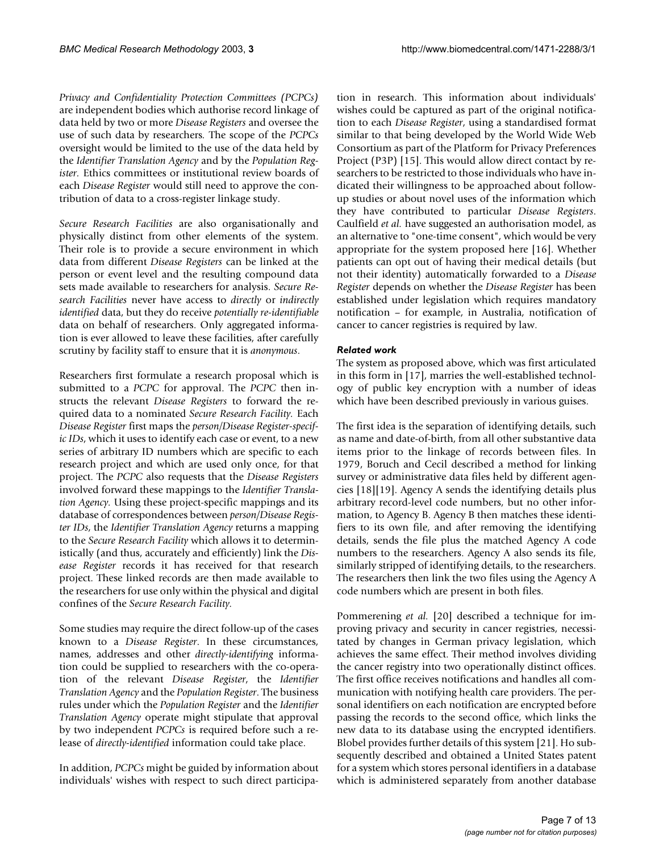*Privacy and Confidentiality Protection Committees (PCPCs)* are independent bodies which authorise record linkage of data held by two or more *Disease Registers* and oversee the use of such data by researchers*.* The scope of the *PCPCs* oversight would be limited to the use of the data held by the *Identifier Translation Agency* and by the *Population Register.* Ethics committees or institutional review boards of each *Disease Register* would still need to approve the contribution of data to a cross-register linkage study.

*Secure Research Facilities* are also organisationally and physically distinct from other elements of the system. Their role is to provide a secure environment in which data from different *Disease Registers* can be linked at the person or event level and the resulting compound data sets made available to researchers for analysis. *Secure Research Facilities* never have access to *directly* or *indirectly identified* data, but they do receive *potentially re-identifiable* data on behalf of researchers. Only aggregated information is ever allowed to leave these facilities, after carefully scrutiny by facility staff to ensure that it is *anonymous*.

Researchers first formulate a research proposal which is submitted to a *PCPC* for approval. The *PCPC* then instructs the relevant *Disease Registers* to forward the required data to a nominated *Secure Research Facility.* Each *Disease Register* first maps the *person/Disease Register-specific IDs*, which it uses to identify each case or event, to a new series of arbitrary ID numbers which are specific to each research project and which are used only once, for that project. The *PCPC* also requests that the *Disease Registers* involved forward these mappings to the *Identifier Translation Agency.* Using these project-specific mappings and its database of correspondences between *person/Disease Register IDs*, the *Identifier Translation Agency* returns a mapping to the *Secure Research Facility* which allows it to deterministically (and thus, accurately and efficiently) link the *Disease Register* records it has received for that research project. These linked records are then made available to the researchers for use only within the physical and digital confines of the *Secure Research Facility.*

Some studies may require the direct follow-up of the cases known to a *Disease Register*. In these circumstances, names, addresses and other *directly-identifying* information could be supplied to researchers with the co-operation of the relevant *Disease Register*, the *Identifier Translation Agency* and the *Population Register*. The business rules under which the *Population Register* and the *Identifier Translation Agency* operate might stipulate that approval by two independent *PCPCs* is required before such a release of *directly-identified* information could take place.

In addition, *PCPCs* might be guided by information about individuals' wishes with respect to such direct participation in research. This information about individuals' wishes could be captured as part of the original notification to each *Disease Register*, using a standardised format similar to that being developed by the World Wide Web Consortium as part of the Platform for Privacy Preferences Project (P3P) [15]. This would allow direct contact by researchers to be restricted to those individuals who have indicated their willingness to be approached about followup studies or about novel uses of the information which they have contributed to particular *Disease Registers*. Caulfield *et al.* have suggested an authorisation model, as an alternative to "one-time consent", which would be very appropriate for the system proposed here [16]. Whether patients can opt out of having their medical details (but not their identity) automatically forwarded to a *Disease Register* depends on whether the *Disease Register* has been established under legislation which requires mandatory notification – for example, in Australia, notification of cancer to cancer registries is required by law.

## *Related work*

The system as proposed above, which was first articulated in this form in [17], marries the well-established technology of public key encryption with a number of ideas which have been described previously in various guises.

The first idea is the separation of identifying details, such as name and date-of-birth, from all other substantive data items prior to the linkage of records between files. In 1979, Boruch and Cecil described a method for linking survey or administrative data files held by different agencies [18][19]. Agency A sends the identifying details plus arbitrary record-level code numbers, but no other information, to Agency B. Agency B then matches these identifiers to its own file, and after removing the identifying details, sends the file plus the matched Agency A code numbers to the researchers. Agency A also sends its file, similarly stripped of identifying details, to the researchers. The researchers then link the two files using the Agency A code numbers which are present in both files.

Pommerening *et al.* [20] described a technique for improving privacy and security in cancer registries, necessitated by changes in German privacy legislation, which achieves the same effect. Their method involves dividing the cancer registry into two operationally distinct offices. The first office receives notifications and handles all communication with notifying health care providers. The personal identifiers on each notification are encrypted before passing the records to the second office, which links the new data to its database using the encrypted identifiers. Blobel provides further details of this system [21]. Ho subsequently described and obtained a United States patent for a system which stores personal identifiers in a database which is administered separately from another database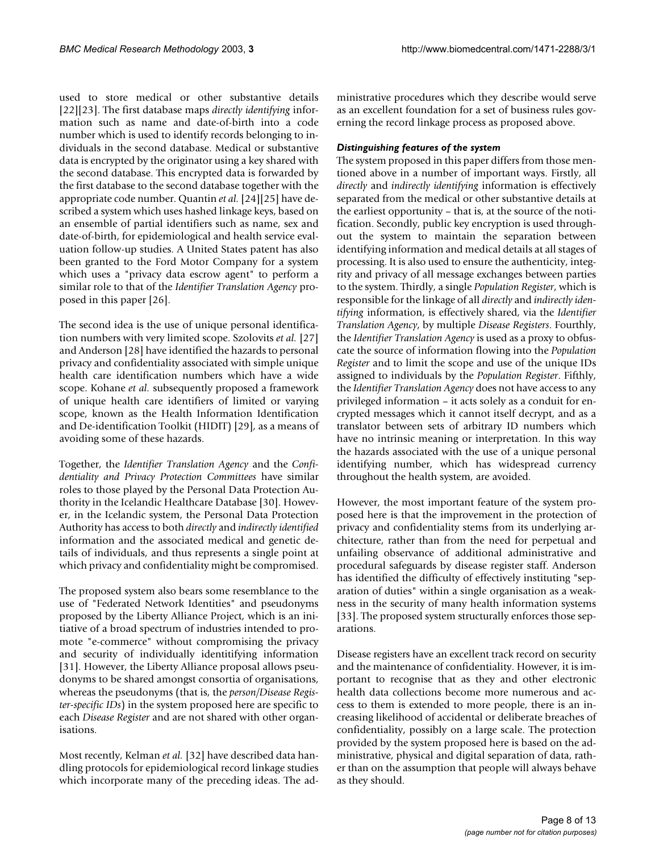used to store medical or other substantive details [22][23]. The first database maps *directly identifying* information such as name and date-of-birth into a code number which is used to identify records belonging to individuals in the second database. Medical or substantive data is encrypted by the originator using a key shared with the second database. This encrypted data is forwarded by the first database to the second database together with the appropriate code number. Quantin *et al.* [24][25] have described a system which uses hashed linkage keys, based on an ensemble of partial identifiers such as name, sex and date-of-birth, for epidemiological and health service evaluation follow-up studies. A United States patent has also been granted to the Ford Motor Company for a system which uses a "privacy data escrow agent" to perform a similar role to that of the *Identifier Translation Agency* proposed in this paper [26].

The second idea is the use of unique personal identification numbers with very limited scope. Szolovits *et al.* [27] and Anderson [28] have identified the hazards to personal privacy and confidentiality associated with simple unique health care identification numbers which have a wide scope. Kohane *et al.* subsequently proposed a framework of unique health care identifiers of limited or varying scope, known as the Health Information Identification and De-identification Toolkit (HIDIT) [29], as a means of avoiding some of these hazards.

Together, the *Identifier Translation Agency* and the *Confidentiality and Privacy Protection Committees* have similar roles to those played by the Personal Data Protection Authority in the Icelandic Healthcare Database [30]. However, in the Icelandic system, the Personal Data Protection Authority has access to both *directly* and *indirectly identified* information and the associated medical and genetic details of individuals, and thus represents a single point at which privacy and confidentiality might be compromised.

The proposed system also bears some resemblance to the use of "Federated Network Identities" and pseudonyms proposed by the Liberty Alliance Project, which is an initiative of a broad spectrum of industries intended to promote "e-commerce" without compromising the privacy and security of individually identitifying information [31]. However, the Liberty Alliance proposal allows pseudonyms to be shared amongst consortia of organisations, whereas the pseudonyms (that is, the *person/Disease Register-specific IDs*) in the system proposed here are specific to each *Disease Register* and are not shared with other organisations.

Most recently, Kelman *et al.* [32] have described data handling protocols for epidemiological record linkage studies which incorporate many of the preceding ideas. The administrative procedures which they describe would serve as an excellent foundation for a set of business rules governing the record linkage process as proposed above.

## *Distinguishing features of the system*

The system proposed in this paper differs from those mentioned above in a number of important ways. Firstly, all *directly* and *indirectly identifying* information is effectively separated from the medical or other substantive details at the earliest opportunity – that is, at the source of the notification. Secondly, public key encryption is used throughout the system to maintain the separation between identifying information and medical details at all stages of processing. It is also used to ensure the authenticity, integrity and privacy of all message exchanges between parties to the system. Thirdly, a single *Population Register*, which is responsible for the linkage of all *directly* and *indirectly identifying* information, is effectively shared, via the *Identifier Translation Agency*, by multiple *Disease Registers*. Fourthly, the *Identifier Translation Agency* is used as a proxy to obfuscate the source of information flowing into the *Population Register* and to limit the scope and use of the unique IDs assigned to individuals by the *Population Register*. Fifthly, the *Identifier Translation Agency* does not have access to any privileged information – it acts solely as a conduit for encrypted messages which it cannot itself decrypt, and as a translator between sets of arbitrary ID numbers which have no intrinsic meaning or interpretation. In this way the hazards associated with the use of a unique personal identifying number, which has widespread currency throughout the health system, are avoided.

However, the most important feature of the system proposed here is that the improvement in the protection of privacy and confidentiality stems from its underlying architecture, rather than from the need for perpetual and unfailing observance of additional administrative and procedural safeguards by disease register staff. Anderson has identified the difficulty of effectively instituting "separation of duties" within a single organisation as a weakness in the security of many health information systems [33]. The proposed system structurally enforces those separations.

Disease registers have an excellent track record on security and the maintenance of confidentiality. However, it is important to recognise that as they and other electronic health data collections become more numerous and access to them is extended to more people, there is an increasing likelihood of accidental or deliberate breaches of confidentiality, possibly on a large scale. The protection provided by the system proposed here is based on the administrative, physical and digital separation of data, rather than on the assumption that people will always behave as they should.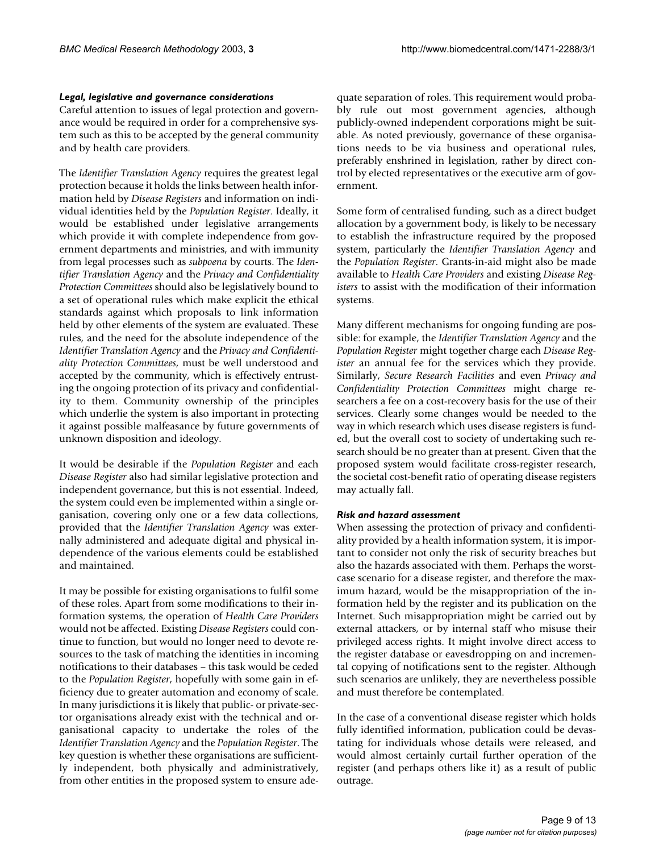## *Legal, legislative and governance considerations*

Careful attention to issues of legal protection and governance would be required in order for a comprehensive system such as this to be accepted by the general community and by health care providers.

The *Identifier Translation Agency* requires the greatest legal protection because it holds the links between health information held by *Disease Registers* and information on individual identities held by the *Population Register*. Ideally, it would be established under legislative arrangements which provide it with complete independence from government departments and ministries, and with immunity from legal processes such as *subpoena* by courts. The *Identifier Translation Agency* and the *Privacy and Confidentiality Protection Committees* should also be legislatively bound to a set of operational rules which make explicit the ethical standards against which proposals to link information held by other elements of the system are evaluated. These rules, and the need for the absolute independence of the *Identifier Translation Agency* and the *Privacy and Confidentiality Protection Committees*, must be well understood and accepted by the community, which is effectively entrusting the ongoing protection of its privacy and confidentiality to them. Community ownership of the principles which underlie the system is also important in protecting it against possible malfeasance by future governments of unknown disposition and ideology.

It would be desirable if the *Population Register* and each *Disease Register* also had similar legislative protection and independent governance, but this is not essential. Indeed, the system could even be implemented within a single organisation, covering only one or a few data collections, provided that the *Identifier Translation Agency* was externally administered and adequate digital and physical independence of the various elements could be established and maintained.

It may be possible for existing organisations to fulfil some of these roles. Apart from some modifications to their information systems, the operation of *Health Care Providers* would not be affected. Existing *Disease Registers* could continue to function, but would no longer need to devote resources to the task of matching the identities in incoming notifications to their databases – this task would be ceded to the *Population Register*, hopefully with some gain in efficiency due to greater automation and economy of scale. In many jurisdictions it is likely that public- or private-sector organisations already exist with the technical and organisational capacity to undertake the roles of the *Identifier Translation Agency* and the *Population Register*. The key question is whether these organisations are sufficiently independent, both physically and administratively, from other entities in the proposed system to ensure adequate separation of roles. This requirement would probably rule out most government agencies, although publicly-owned independent corporations might be suitable. As noted previously, governance of these organisations needs to be via business and operational rules, preferably enshrined in legislation, rather by direct control by elected representatives or the executive arm of government.

Some form of centralised funding, such as a direct budget allocation by a government body, is likely to be necessary to establish the infrastructure required by the proposed system, particularly the *Identifier Translation Agency* and the *Population Register*. Grants-in-aid might also be made available to *Health Care Providers* and existing *Disease Registers* to assist with the modification of their information systems.

Many different mechanisms for ongoing funding are possible: for example, the *Identifier Translation Agency* and the *Population Register* might together charge each *Disease Register* an annual fee for the services which they provide. Similarly, *Secure Research Facilities* and even *Privacy and Confidentiality Protection Committees* might charge researchers a fee on a cost-recovery basis for the use of their services. Clearly some changes would be needed to the way in which research which uses disease registers is funded, but the overall cost to society of undertaking such research should be no greater than at present. Given that the proposed system would facilitate cross-register research, the societal cost-benefit ratio of operating disease registers may actually fall.

## *Risk and hazard assessment*

When assessing the protection of privacy and confidentiality provided by a health information system, it is important to consider not only the risk of security breaches but also the hazards associated with them. Perhaps the worstcase scenario for a disease register, and therefore the maximum hazard, would be the misappropriation of the information held by the register and its publication on the Internet. Such misappropriation might be carried out by external attackers, or by internal staff who misuse their privileged access rights. It might involve direct access to the register database or eavesdropping on and incremental copying of notifications sent to the register. Although such scenarios are unlikely, they are nevertheless possible and must therefore be contemplated.

In the case of a conventional disease register which holds fully identified information, publication could be devastating for individuals whose details were released, and would almost certainly curtail further operation of the register (and perhaps others like it) as a result of public outrage.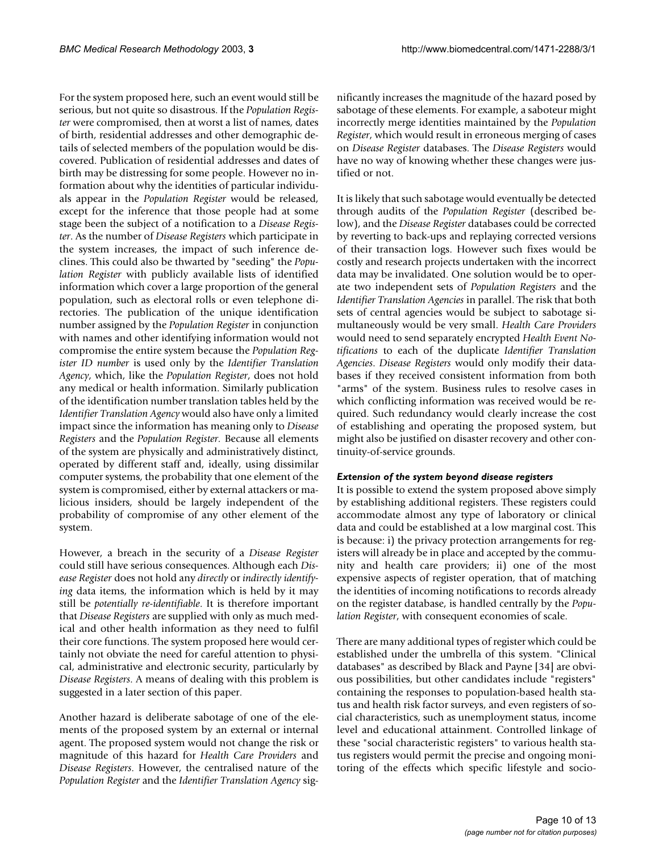For the system proposed here, such an event would still be serious, but not quite so disastrous. If the *Population Register* were compromised, then at worst a list of names, dates of birth, residential addresses and other demographic details of selected members of the population would be discovered. Publication of residential addresses and dates of birth may be distressing for some people. However no information about why the identities of particular individuals appear in the *Population Register* would be released, except for the inference that those people had at some stage been the subject of a notification to a *Disease Register*. As the number of *Disease Registers* which participate in the system increases, the impact of such inference declines. This could also be thwarted by "seeding" the *Population Register* with publicly available lists of identified information which cover a large proportion of the general population, such as electoral rolls or even telephone directories. The publication of the unique identification number assigned by the *Population Register* in conjunction with names and other identifying information would not compromise the entire system because the *Population Register ID number* is used only by the *Identifier Translation Agency*, which, like the *Population Register*, does not hold any medical or health information. Similarly publication of the identification number translation tables held by the *Identifier Translation Agency* would also have only a limited impact since the information has meaning only to *Disease Registers* and the *Population Register.* Because all elements of the system are physically and administratively distinct, operated by different staff and, ideally, using dissimilar computer systems, the probability that one element of the system is compromised, either by external attackers or malicious insiders, should be largely independent of the probability of compromise of any other element of the system.

However, a breach in the security of a *Disease Register* could still have serious consequences. Although each *Disease Register* does not hold any *directly* or *indirectly identifying* data items, the information which is held by it may still be *potentially re-identifiable*. It is therefore important that *Disease Registers* are supplied with only as much medical and other health information as they need to fulfil their core functions. The system proposed here would certainly not obviate the need for careful attention to physical, administrative and electronic security, particularly by *Disease Registers*. A means of dealing with this problem is suggested in a later section of this paper.

Another hazard is deliberate sabotage of one of the elements of the proposed system by an external or internal agent. The proposed system would not change the risk or magnitude of this hazard for *Health Care Providers* and *Disease Registers*. However, the centralised nature of the *Population Register* and the *Identifier Translation Agency* significantly increases the magnitude of the hazard posed by sabotage of these elements. For example, a saboteur might incorrectly merge identities maintained by the *Population Register*, which would result in erroneous merging of cases on *Disease Register* databases. The *Disease Registers* would have no way of knowing whether these changes were justified or not.

It is likely that such sabotage would eventually be detected through audits of the *Population Register* (described below), and the *Disease Register* databases could be corrected by reverting to back-ups and replaying corrected versions of their transaction logs. However such fixes would be costly and research projects undertaken with the incorrect data may be invalidated. One solution would be to operate two independent sets of *Population Registers* and the *Identifier Translation Agencies* in parallel. The risk that both sets of central agencies would be subject to sabotage simultaneously would be very small. *Health Care Providers* would need to send separately encrypted *Health Event Notifications* to each of the duplicate *Identifier Translation Agencies*. *Disease Registers* would only modify their databases if they received consistent information from both "arms" of the system. Business rules to resolve cases in which conflicting information was received would be required. Such redundancy would clearly increase the cost of establishing and operating the proposed system, but might also be justified on disaster recovery and other continuity-of-service grounds.

## *Extension of the system beyond disease registers*

It is possible to extend the system proposed above simply by establishing additional registers. These registers could accommodate almost any type of laboratory or clinical data and could be established at a low marginal cost. This is because: i) the privacy protection arrangements for registers will already be in place and accepted by the community and health care providers; ii) one of the most expensive aspects of register operation, that of matching the identities of incoming notifications to records already on the register database, is handled centrally by the *Population Register*, with consequent economies of scale.

There are many additional types of register which could be established under the umbrella of this system. "Clinical databases" as described by Black and Payne [34] are obvious possibilities, but other candidates include "registers" containing the responses to population-based health status and health risk factor surveys, and even registers of social characteristics, such as unemployment status, income level and educational attainment. Controlled linkage of these "social characteristic registers" to various health status registers would permit the precise and ongoing monitoring of the effects which specific lifestyle and socio-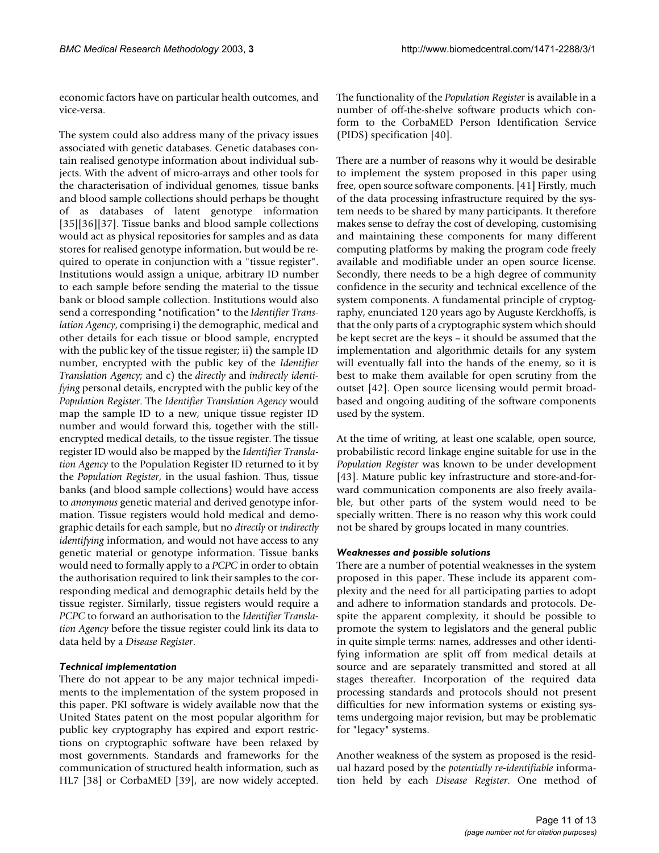economic factors have on particular health outcomes, and vice-versa.

The system could also address many of the privacy issues associated with genetic databases. Genetic databases contain realised genotype information about individual subjects. With the advent of micro-arrays and other tools for the characterisation of individual genomes, tissue banks and blood sample collections should perhaps be thought of as databases of latent genotype information [35][36][37]. Tissue banks and blood sample collections would act as physical repositories for samples and as data stores for realised genotype information, but would be required to operate in conjunction with a "tissue register". Institutions would assign a unique, arbitrary ID number to each sample before sending the material to the tissue bank or blood sample collection. Institutions would also send a corresponding "notification" to the *Identifier Translation Agency*, comprising i) the demographic, medical and other details for each tissue or blood sample, encrypted with the public key of the tissue register; ii) the sample ID number, encrypted with the public key of the *Identifier Translation Agency*; and c) the *directly* and *indirectly identifying* personal details, encrypted with the public key of the *Population Register*. The *Identifier Translation Agency* would map the sample ID to a new, unique tissue register ID number and would forward this, together with the stillencrypted medical details, to the tissue register. The tissue register ID would also be mapped by the *Identifier Translation Agency* to the Population Register ID returned to it by the *Population Register*, in the usual fashion. Thus, tissue banks (and blood sample collections) would have access to *anonymous* genetic material and derived genotype information. Tissue registers would hold medical and demographic details for each sample, but no *directly* or *indirectly identifying* information, and would not have access to any genetic material or genotype information. Tissue banks would need to formally apply to a *PCPC* in order to obtain the authorisation required to link their samples to the corresponding medical and demographic details held by the tissue register. Similarly, tissue registers would require a *PCPC* to forward an authorisation to the *Identifier Translation Agency* before the tissue register could link its data to data held by a *Disease Register*.

## *Technical implementation*

There do not appear to be any major technical impediments to the implementation of the system proposed in this paper. PKI software is widely available now that the United States patent on the most popular algorithm for public key cryptography has expired and export restrictions on cryptographic software have been relaxed by most governments. Standards and frameworks for the communication of structured health information, such as HL7 [38] or CorbaMED [39], are now widely accepted.

The functionality of the *Population Register* is available in a number of off-the-shelve software products which conform to the CorbaMED Person Identification Service (PIDS) specification [40].

There are a number of reasons why it would be desirable to implement the system proposed in this paper using free, open source software components. [41] Firstly, much of the data processing infrastructure required by the system needs to be shared by many participants. It therefore makes sense to defray the cost of developing, customising and maintaining these components for many different computing platforms by making the program code freely available and modifiable under an open source license. Secondly, there needs to be a high degree of community confidence in the security and technical excellence of the system components. A fundamental principle of cryptography, enunciated 120 years ago by Auguste Kerckhoffs, is that the only parts of a cryptographic system which should be kept secret are the keys – it should be assumed that the implementation and algorithmic details for any system will eventually fall into the hands of the enemy, so it is best to make them available for open scrutiny from the outset [42]. Open source licensing would permit broadbased and ongoing auditing of the software components used by the system.

At the time of writing, at least one scalable, open source, probabilistic record linkage engine suitable for use in the *Population Register* was known to be under development [43]. Mature public key infrastructure and store-and-forward communication components are also freely available, but other parts of the system would need to be specially written. There is no reason why this work could not be shared by groups located in many countries.

## *Weaknesses and possible solutions*

There are a number of potential weaknesses in the system proposed in this paper. These include its apparent complexity and the need for all participating parties to adopt and adhere to information standards and protocols. Despite the apparent complexity, it should be possible to promote the system to legislators and the general public in quite simple terms: names, addresses and other identifying information are split off from medical details at source and are separately transmitted and stored at all stages thereafter. Incorporation of the required data processing standards and protocols should not present difficulties for new information systems or existing systems undergoing major revision, but may be problematic for "legacy" systems.

Another weakness of the system as proposed is the residual hazard posed by the *potentially re-identifiable* information held by each *Disease Register*. One method of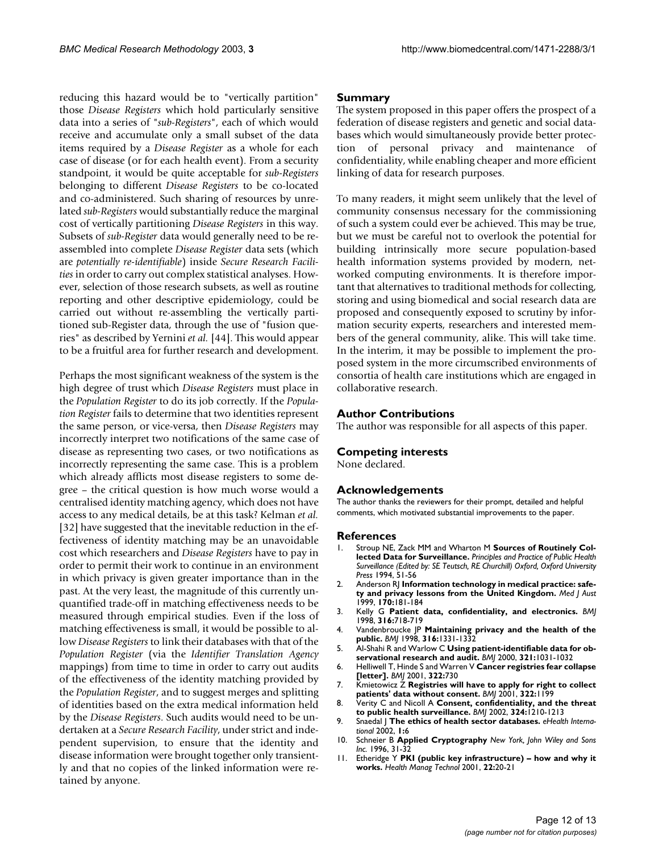reducing this hazard would be to "vertically partition" those *Disease Registers* which hold particularly sensitive data into a series of "*sub-Registers*", each of which would receive and accumulate only a small subset of the data items required by a *Disease Register* as a whole for each case of disease (or for each health event). From a security standpoint, it would be quite acceptable for *sub-Registers* belonging to different *Disease Registers* to be co-located and co-administered. Such sharing of resources by unrelated *sub-Registers* would substantially reduce the marginal cost of vertically partitioning *Disease Registers* in this way. Subsets of *sub-Register* data would generally need to be reassembled into complete *Disease Register* data sets (which are *potentially re-identifiable*) inside *Secure Research Facilities* in order to carry out complex statistical analyses. However, selection of those research subsets, as well as routine reporting and other descriptive epidemiology, could be carried out without re-assembling the vertically partitioned sub-Register data, through the use of "fusion queries" as described by Yernini *et al.* [44]. This would appear to be a fruitful area for further research and development.

Perhaps the most significant weakness of the system is the high degree of trust which *Disease Registers* must place in the *Population Register* to do its job correctly. If the *Population Register* fails to determine that two identities represent the same person, or vice-versa, then *Disease Registers* may incorrectly interpret two notifications of the same case of disease as representing two cases, or two notifications as incorrectly representing the same case. This is a problem which already afflicts most disease registers to some degree – the critical question is how much worse would a centralised identity matching agency, which does not have access to any medical details, be at this task? Kelman *et al.* [32] have suggested that the inevitable reduction in the effectiveness of identity matching may be an unavoidable cost which researchers and *Disease Registers* have to pay in order to permit their work to continue in an environment in which privacy is given greater importance than in the past. At the very least, the magnitude of this currently unquantified trade-off in matching effectiveness needs to be measured through empirical studies. Even if the loss of matching effectiveness is small, it would be possible to allow *Disease Registers* to link their databases with that of the *Population Register* (via the *Identifier Translation Agency* mappings) from time to time in order to carry out audits of the effectiveness of the identity matching provided by the *Population Register*, and to suggest merges and splitting of identities based on the extra medical information held by the *Disease Registers*. Such audits would need to be undertaken at a *Secure Research Facility*, under strict and independent supervision, to ensure that the identity and disease information were brought together only transiently and that no copies of the linked information were retained by anyone.

#### **Summary**

The system proposed in this paper offers the prospect of a federation of disease registers and genetic and social databases which would simultaneously provide better protection of personal privacy and maintenance of confidentiality, while enabling cheaper and more efficient linking of data for research purposes.

To many readers, it might seem unlikely that the level of community consensus necessary for the commissioning of such a system could ever be achieved. This may be true, but we must be careful not to overlook the potential for building intrinsically more secure population-based health information systems provided by modern, networked computing environments. It is therefore important that alternatives to traditional methods for collecting, storing and using biomedical and social research data are proposed and consequently exposed to scrutiny by information security experts, researchers and interested members of the general community, alike. This will take time. In the interim, it may be possible to implement the proposed system in the more circumscribed environments of consortia of health care institutions which are engaged in collaborative research.

#### **Author Contributions**

The author was responsible for all aspects of this paper.

#### **Competing interests**

None declared.

## **Acknowledgements**

The author thanks the reviewers for their prompt, detailed and helpful comments, which motivated substantial improvements to the paper.

#### **References**

- 1. Stroup NE, Zack MM and Wharton M **Sources of Routinely Collected Data for Surveillance.** *Principles and Practice of Public Health Surveillance (Edited by: SE Teutsch, RE Churchill) Oxford, Oxford University Press* 1994, 51-56
- 2. Anderson RJ **[Information technology in medical practice: safe](http://www.ncbi.nlm.nih.gov/entrez/query.fcgi?cmd=Retrieve&db=PubMed&dopt=Abstract&list_uids=10078187)[ty and privacy lessons from the United Kingdom.](http://www.ncbi.nlm.nih.gov/entrez/query.fcgi?cmd=Retrieve&db=PubMed&dopt=Abstract&list_uids=10078187)** *Med J Aust* 1999, **170:**181-184
- 3. Kelly G **[Patient data, confidentiality, and electronics.](http://www.ncbi.nlm.nih.gov/entrez/query.fcgi?cmd=Retrieve&db=PubMed&dopt=Abstract&list_uids=9529395)** *BMJ* 1998, **316:**718-719
- 4. Vandenbroucke JP **[Maintaining privacy and the health of the](http://www.ncbi.nlm.nih.gov/entrez/query.fcgi?cmd=Retrieve&db=PubMed&dopt=Abstract&list_uids=9563980) [public.](http://www.ncbi.nlm.nih.gov/entrez/query.fcgi?cmd=Retrieve&db=PubMed&dopt=Abstract&list_uids=9563980)** *BMJ* 1998, **316:**1331-1332
- 5. Al-Shahi R and Warlow C **[Using patient-identifiable data for ob](http://www.ncbi.nlm.nih.gov/entrez/query.fcgi?cmd=Retrieve&db=PubMed&dopt=Abstract&list_uids=11053151)[servational research and audit.](http://www.ncbi.nlm.nih.gov/entrez/query.fcgi?cmd=Retrieve&db=PubMed&dopt=Abstract&list_uids=11053151)** *BMJ* 2000, **321:**1031-1032
- 6. Helliwell T, Hinde S and Warren V **[Cancer registries fear collapse](http://www.ncbi.nlm.nih.gov/entrez/query.fcgi?cmd=Retrieve&db=PubMed&dopt=Abstract&list_uids=11264198) [\[letter\].](http://www.ncbi.nlm.nih.gov/entrez/query.fcgi?cmd=Retrieve&db=PubMed&dopt=Abstract&list_uids=11264198)** *BMJ* 2001, **322:**730
- 7. Kmietowicz Z **[Registries will have to apply for right to collect](http://www.ncbi.nlm.nih.gov/entrez/query.fcgi?cmd=Retrieve&db=PubMed&dopt=Abstract&list_uids=11358765) [patients' data without consent.](http://www.ncbi.nlm.nih.gov/entrez/query.fcgi?cmd=Retrieve&db=PubMed&dopt=Abstract&list_uids=11358765)** *BMJ* 2001, **322:**1199
- 8. Verity C and Nicoll A **[Consent, confidentiality, and the threat](http://www.ncbi.nlm.nih.gov/entrez/query.fcgi?cmd=Retrieve&db=PubMed&dopt=Abstract&list_uids=12016192) [to public health surveillance.](http://www.ncbi.nlm.nih.gov/entrez/query.fcgi?cmd=Retrieve&db=PubMed&dopt=Abstract&list_uids=12016192)** *BMJ* 2002, **324:**1210-1213
- 9. Snaedal J **[The ethics of health sector databases.](http://www.ncbi.nlm.nih.gov/entrez/query.fcgi?cmd=Retrieve&db=PubMed&dopt=Abstract&list_uids=135527)** *eHealth International* 2002, **1:**6
- 10. Schneier B **Applied Cryptography** *New York, John Wiley and Sons Inc.* 1996, 31-32
- 11. Etheridge Y **[PKI \(public key infrastructure\) how and why it](http://www.ncbi.nlm.nih.gov/entrez/query.fcgi?cmd=Retrieve&db=PubMed&dopt=Abstract&list_uids=11213609) [works.](http://www.ncbi.nlm.nih.gov/entrez/query.fcgi?cmd=Retrieve&db=PubMed&dopt=Abstract&list_uids=11213609)** *Health Manag Technol* 2001, **22:**20-21